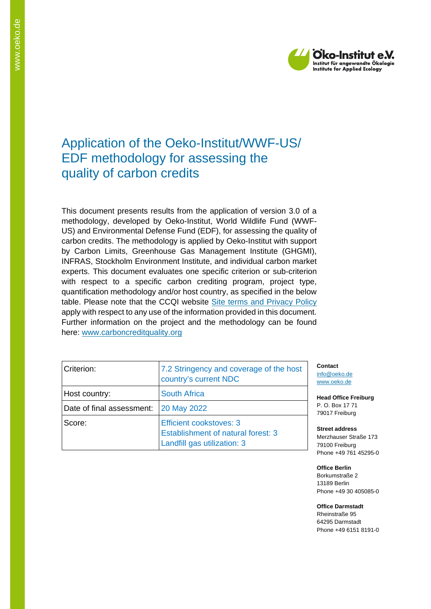

# Application of the Oeko-Institut/WWF-US/ EDF methodology for assessing the quality of carbon credits

This document presents results from the application of version 3.0 of a methodology, developed by Oeko-Institut, World Wildlife Fund (WWF-US) and Environmental Defense Fund (EDF), for assessing the quality of carbon credits. The methodology is applied by Oeko-Institut with support by Carbon Limits, Greenhouse Gas Management Institute (GHGMI), INFRAS, Stockholm Environment Institute, and individual carbon market experts. This document evaluates one specific criterion or sub-criterion with respect to a specific carbon crediting program, project type, quantification methodology and/or host country, as specified in the below table. Please note that the CCQI website [Site terms and Privacy Policy](https://carboncreditquality.org/terms.html) apply with respect to any use of the information provided in this document. Further information on the project and the methodology can be found here: [www.carboncreditquality.org](http://www.carboncreditquality.org/)

| Criterion:                | 7.2 Stringency and coverage of the host<br>country's current NDC                                    |
|---------------------------|-----------------------------------------------------------------------------------------------------|
| Host country:             | <b>South Africa</b>                                                                                 |
| Date of final assessment: | <b>20 May 2022</b>                                                                                  |
| Score:                    | <b>Efficient cookstoves: 3</b><br>Establishment of natural forest: 3<br>Landfill gas utilization: 3 |

**Contact** [info@oeko.de](mailto:info@oeko.de) [www.oeko.de](http://www.oeko.de/)

**Head Office Freiburg** P. O. Box 17 71 79017 Freiburg

**Street address** Merzhauser Straße 173 79100 Freiburg Phone +49 761 45295-0

**Office Berlin** Borkumstraße 2 13189 Berlin Phone +49 30 405085-0

**Office Darmstadt** Rheinstraße 95 64295 Darmstadt Phone +49 6151 8191-0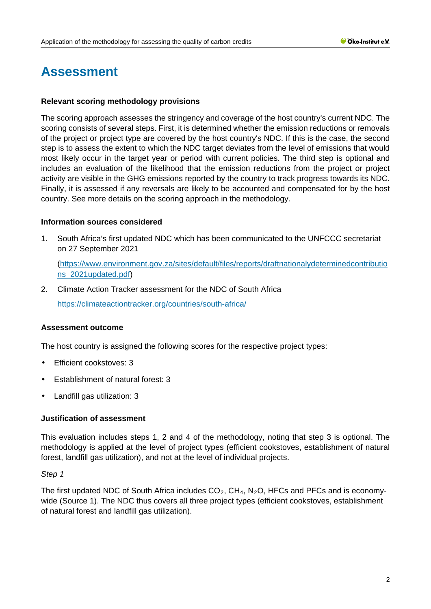# **Assessment**

# **Relevant scoring methodology provisions**

The scoring approach assesses the stringency and coverage of the host country's current NDC. The scoring consists of several steps. First, it is determined whether the emission reductions or removals of the project or project type are covered by the host country's NDC. If this is the case, the second step is to assess the extent to which the NDC target deviates from the level of emissions that would most likely occur in the target year or period with current policies. The third step is optional and includes an evaluation of the likelihood that the emission reductions from the project or project activity are visible in the GHG emissions reported by the country to track progress towards its NDC. Finally, it is assessed if any reversals are likely to be accounted and compensated for by the host country. See more details on the scoring approach in the methodology.

#### **Information sources considered**

1. South Africa's first updated NDC which has been communicated to the UNFCCC secretariat on 27 September 2021

[\(https://www.environment.gov.za/sites/default/files/reports/draftnationalydeterminedcontributio](https://www.environment.gov.za/sites/default/files/reports/draftnationalydeterminedcontributions_2021updated.pdf) [ns\\_2021updated.pdf\)](https://www.environment.gov.za/sites/default/files/reports/draftnationalydeterminedcontributions_2021updated.pdf)

2. Climate Action Tracker assessment for the NDC of South Africa

<https://climateactiontracker.org/countries/south-africa/>

# **Assessment outcome**

The host country is assigned the following scores for the respective project types:

- Efficient cookstoves: 3 t.
- Establishment of natural forest: 3
- Landfill gas utilization: 3

#### **Justification of assessment**

This evaluation includes steps 1, 2 and 4 of the methodology, noting that step 3 is optional. The methodology is applied at the level of project types (efficient cookstoves, establishment of natural forest, landfill gas utilization), and not at the level of individual projects.

#### *Step 1*

The first updated NDC of South Africa includes  $CO<sub>2</sub>$ , CH<sub>4</sub>, N<sub>2</sub>O, HFCs and PFCs and is economywide (Source 1). The NDC thus covers all three project types (efficient cookstoves, establishment of natural forest and landfill gas utilization).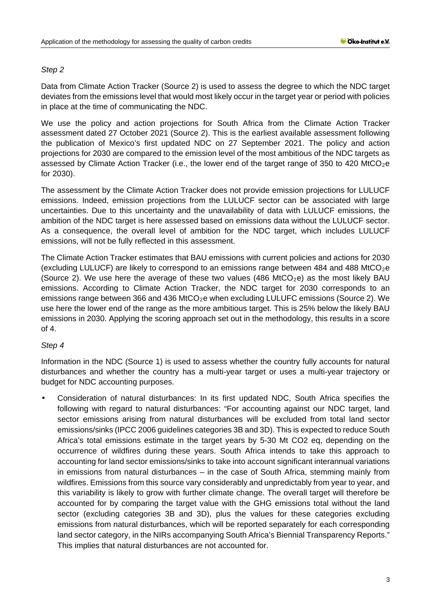# *Step 2*

Data from Climate Action Tracker (Source 2) is used to assess the degree to which the NDC target deviates from the emissions level that would most likely occur in the target year or period with policies in place at the time of communicating the NDC.

We use the policy and action projections for South Africa from the Climate Action Tracker assessment dated 27 October 2021 (Source 2). This is the earliest available assessment following the publication of Mexico's first updated NDC on 27 September 2021. The policy and action projections for 2030 are compared to the emission level of the most ambitious of the NDC targets as assessed by Climate Action Tracker (i.e., the lower end of the target range of 350 to 420 MtCO<sub>2</sub>e for 2030).

The assessment by the Climate Action Tracker does not provide emission projections for LULUCF emissions. Indeed, emission projections from the LULUCF sector can be associated with large uncertainties. Due to this uncertainty and the unavailability of data with LULUCF emissions, the ambition of the NDC target is here assessed based on emissions data without the LULUCF sector. As a consequence, the overall level of ambition for the NDC target, which includes LULUCF emissions, will not be fully reflected in this assessment.

The Climate Action Tracker estimates that BAU emissions with current policies and actions for 2030 (excluding LULUCF) are likely to correspond to an emissions range between 484 and 488 MtCO<sub>2</sub>e (Source 2). We use here the average of these two values (486 MtCO<sub>2</sub>e) as the most likely BAU emissions. According to Climate Action Tracker, the NDC target for 2030 corresponds to an emissions range between 366 and 436 MtCO<sub>2</sub>e when excluding LULUFC emissions (Source 2). We use here the lower end of the range as the more ambitious target. This is 25% below the likely BAU emissions in 2030. Applying the scoring approach set out in the methodology, this results in a score of 4.

# *Step 4*

Information in the NDC (Source 1) is used to assess whether the country fully accounts for natural disturbances and whether the country has a multi-year target or uses a multi-year trajectory or budget for NDC accounting purposes.

Consideration of natural disturbances: In its first updated NDC, South Africa specifies the following with regard to natural disturbances: "For accounting against our NDC target, land sector emissions arising from natural disturbances will be excluded from total land sector emissions/sinks (IPCC 2006 guidelines categories 3B and 3D). This is expected to reduce South Africa's total emissions estimate in the target years by 5-30 Mt CO2 eq, depending on the occurrence of wildfires during these years. South Africa intends to take this approach to accounting for land sector emissions/sinks to take into account significant interannual variations in emissions from natural disturbances – in the case of South Africa, stemming mainly from wildfires. Emissions from this source vary considerably and unpredictably from year to year, and this variability is likely to grow with further climate change. The overall target will therefore be accounted for by comparing the target value with the GHG emissions total without the land sector (excluding categories 3B and 3D), plus the values for these categories excluding emissions from natural disturbances, which will be reported separately for each corresponding land sector category, in the NIRs accompanying South Africa's Biennial Transparency Reports." This implies that natural disturbances are not accounted for.